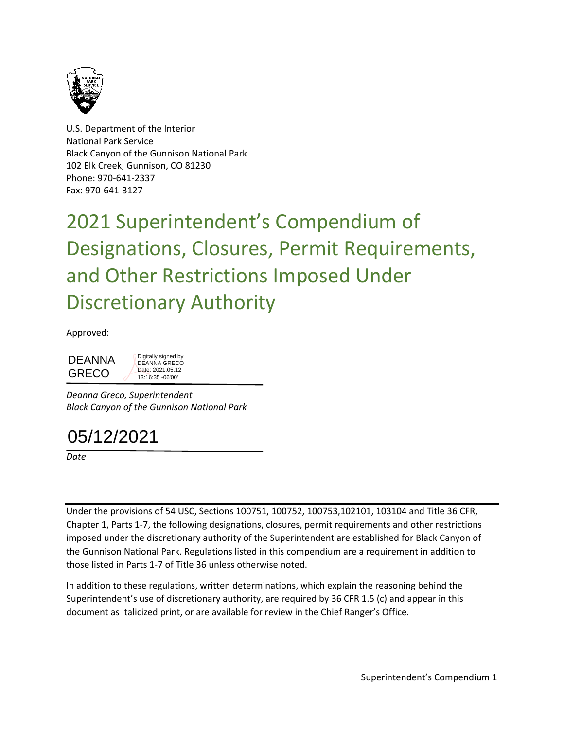

U.S. Department of the Interior National Park Service Black Canyon of the Gunnison National Park 102 Elk Creek, Gunnison, CO 81230 Phone: 970-641-2337 Fax: 970-641-3127

2021 Superintendent's Compendium of Designations, Closures, Permit Requirements, and Other Restrictions Imposed Under Discretionary Authority

Approved:

DEANNA<br>
GRECO<br>
Deanna Greco, Superin<br>
Black Canyon of the Gl<br>
05/12/2021 GRECO Digitally signed by DEANNA GRECO Date: 2021.05.12 13:16:35 -06'00'

*Deanna Greco, Superintendent Black Canyon of the Gunnison National Park*



*Date*

Under the provisions of 54 USC, Sections 100751, 100752, 100753,102101, 103104 and Title 36 CFR, Chapter 1, Parts 1-7, the following designations, closures, permit requirements and other restrictions imposed under the discretionary authority of the Superintendent are established for Black Canyon of the Gunnison National Park. Regulations listed in this compendium are a requirement in addition to those listed in Parts 1-7 of Title 36 unless otherwise noted.

In addition to these regulations, written determinations, which explain the reasoning behind the Superintendent's use of discretionary authority, are required by 36 CFR 1.5 (c) and appear in this document as italicized print, or are available for review in the Chief Ranger's Office.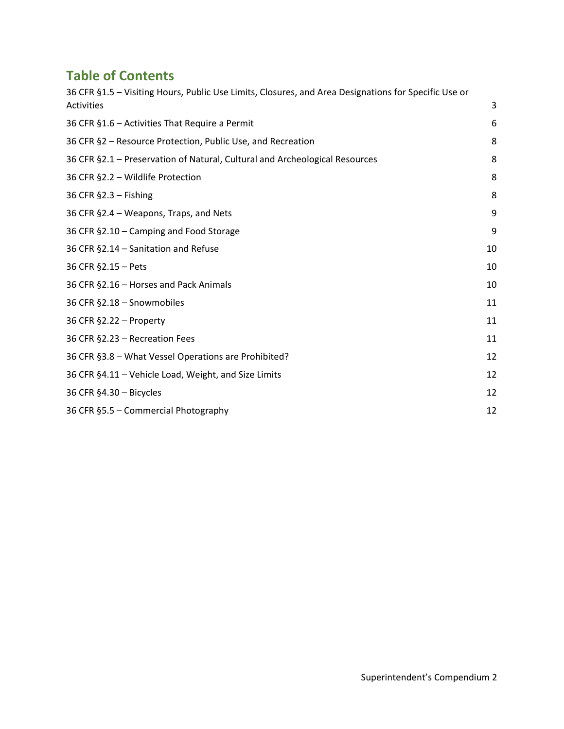# **Table of Contents**

| 36 CFR §1.5 - Visiting Hours, Public Use Limits, Closures, and Area Designations for Specific Use or |    |
|------------------------------------------------------------------------------------------------------|----|
| Activities                                                                                           | 3  |
| 36 CFR §1.6 - Activities That Require a Permit                                                       | 6  |
| 36 CFR §2 - Resource Protection, Public Use, and Recreation                                          | 8  |
| 36 CFR §2.1 - Preservation of Natural, Cultural and Archeological Resources                          | 8  |
| 36 CFR §2.2 - Wildlife Protection                                                                    | 8  |
| 36 CFR §2.3 - Fishing                                                                                | 8  |
| 36 CFR §2.4 - Weapons, Traps, and Nets                                                               | 9  |
| 36 CFR §2.10 - Camping and Food Storage                                                              | 9  |
| 36 CFR §2.14 - Sanitation and Refuse                                                                 | 10 |
| 36 CFR §2.15 - Pets                                                                                  | 10 |
| 36 CFR §2.16 - Horses and Pack Animals                                                               | 10 |
| 36 CFR §2.18 - Snowmobiles                                                                           | 11 |
| 36 CFR §2.22 - Property                                                                              | 11 |
| 36 CFR §2.23 - Recreation Fees                                                                       | 11 |
| 36 CFR §3.8 - What Vessel Operations are Prohibited?                                                 | 12 |
| 36 CFR §4.11 - Vehicle Load, Weight, and Size Limits                                                 | 12 |
| 36 CFR §4.30 - Bicycles                                                                              | 12 |
| 36 CFR §5.5 - Commercial Photography                                                                 | 12 |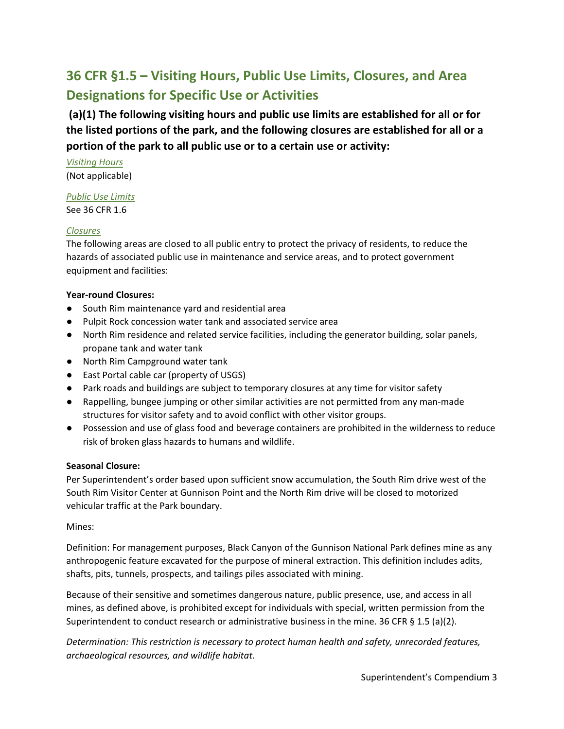# <span id="page-2-0"></span>**36 CFR §1.5 – Visiting Hours, Public Use Limits, Closures, and Area Designations for Specific Use or Activities**

**(a)(1) The following visiting hours and public use limits are established for all or for the listed portions of the park, and the following closures are established for all or a portion of the park to all public use or to a certain use or activity:**

*Visiting Hours* (Not applicable)

### *Public Use Limits*

See 36 CFR 1.6

### *Closures*

The following areas are closed to all public entry to protect the privacy of residents, to reduce the hazards of associated public use in maintenance and service areas, and to protect government equipment and facilities:

### **Year-round Closures:**

- South Rim maintenance yard and residential area
- Pulpit Rock concession water tank and associated service area
- North Rim residence and related service facilities, including the generator building, solar panels, propane tank and water tank
- North Rim Campground water tank
- East Portal cable car (property of USGS)
- Park roads and buildings are subject to temporary closures at any time for visitor safety
- Rappelling, bungee jumping or other similar activities are not permitted from any man-made structures for visitor safety and to avoid conflict with other visitor groups.
- Possession and use of glass food and beverage containers are prohibited in the wilderness to reduce risk of broken glass hazards to humans and wildlife.

### **Seasonal Closure:**

Per Superintendent's order based upon sufficient snow accumulation, the South Rim drive west of the South Rim Visitor Center at Gunnison Point and the North Rim drive will be closed to motorized vehicular traffic at the Park boundary.

### Mines:

Definition: For management purposes, Black Canyon of the Gunnison National Park defines mine as any anthropogenic feature excavated for the purpose of mineral extraction. This definition includes adits, shafts, pits, tunnels, prospects, and tailings piles associated with mining.

Because of their sensitive and sometimes dangerous nature, public presence, use, and access in all mines, as defined above, is prohibited except for individuals with special, written permission from the Superintendent to conduct research or administrative business in the mine. 36 CFR § 1.5 (a)(2).

*Determination: This restriction is necessary to protect human health and safety, unrecorded features, archaeological resources, and wildlife habitat.*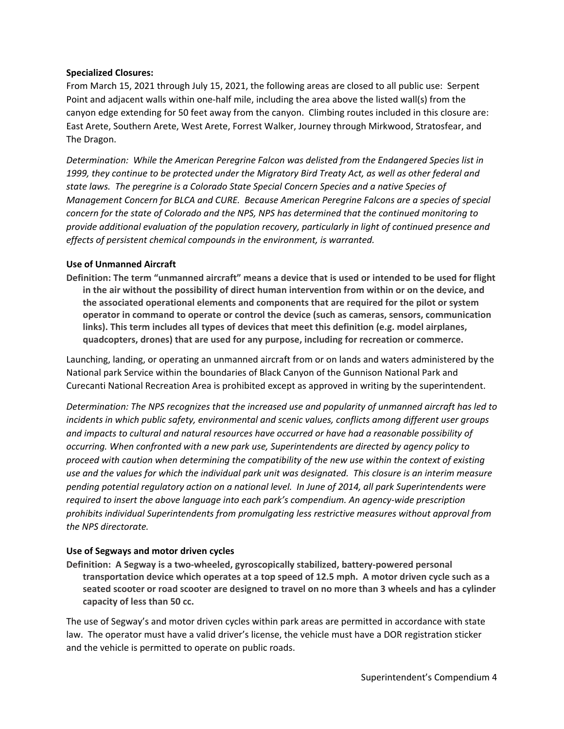### **Specialized Closures:**

From March 15, 2021 through July 15, 2021, the following areas are closed to all public use: Serpent Point and adjacent walls within one-half mile, including the area above the listed wall(s) from the canyon edge extending for 50 feet away from the canyon. Climbing routes included in this closure are: East Arete, Southern Arete, West Arete, Forrest Walker, Journey through Mirkwood, Stratosfear, and The Dragon.

*Determination: While the American Peregrine Falcon was delisted from the Endangered Species list in 1999, they continue to be protected under the Migratory Bird Treaty Act, as well as other federal and state laws. The peregrine is a Colorado State Special Concern Species and a native Species of Management Concern for BLCA and CURE. Because American Peregrine Falcons are a species of special concern for the state of Colorado and the NPS, NPS has determined that the continued monitoring to provide additional evaluation of the population recovery, particularly in light of continued presence and effects of persistent chemical compounds in the environment, is warranted.*

### **Use of Unmanned Aircraft**

**Definition: The term "unmanned aircraft" means a device that is used or intended to be used for flight in the air without the possibility of direct human intervention from within or on the device, and the associated operational elements and components that are required for the pilot or system operator in command to operate or control the device (such as cameras, sensors, communication links). This term includes all types of devices that meet this definition (e.g. model airplanes, quadcopters, drones) that are used for any purpose, including for recreation or commerce.**

Launching, landing, or operating an unmanned aircraft from or on lands and waters administered by the National park Service within the boundaries of Black Canyon of the Gunnison National Park and Curecanti National Recreation Area is prohibited except as approved in writing by the superintendent.

*Determination: The NPS recognizes that the increased use and popularity of unmanned aircraft has led to incidents in which public safety, environmental and scenic values, conflicts among different user groups and impacts to cultural and natural resources have occurred or have had a reasonable possibility of occurring. When confronted with a new park use, Superintendents are directed by agency policy to proceed with caution when determining the compatibility of the new use within the context of existing use and the values for which the individual park unit was designated. This closure is an interim measure pending potential regulatory action on a national level. In June of 2014, all park Superintendents were required to insert the above language into each park's compendium. An agency-wide prescription prohibits individual Superintendents from promulgating less restrictive measures without approval from the NPS directorate.*

#### **Use of Segways and motor driven cycles**

**Definition: A Segway is a two-wheeled, gyroscopically stabilized, battery-powered personal transportation device which operates at a top speed of 12.5 mph. A motor driven cycle such as a seated scooter or road scooter are designed to travel on no more than 3 wheels and has a cylinder capacity of less than 50 cc.**

The use of Segway's and motor driven cycles within park areas are permitted in accordance with state law. The operator must have a valid driver's license, the vehicle must have a DOR registration sticker and the vehicle is permitted to operate on public roads.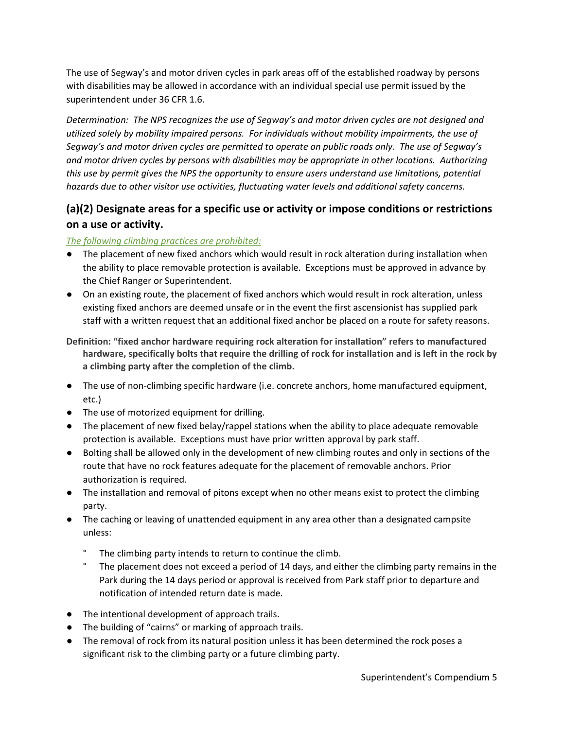The use of Segway's and motor driven cycles in park areas off of the established roadway by persons with disabilities may be allowed in accordance with an individual special use permit issued by the superintendent under 36 CFR 1.6.

*Determination: The NPS recognizes the use of Segway's and motor driven cycles are not designed and utilized solely by mobility impaired persons. For individuals without mobility impairments, the use of Segway's and motor driven cycles are permitted to operate on public roads only. The use of Segway's and motor driven cycles by persons with disabilities may be appropriate in other locations. Authorizing this use by permit gives the NPS the opportunity to ensure users understand use limitations, potential hazards due to other visitor use activities, fluctuating water levels and additional safety concerns.*

### **(a)(2) Designate areas for a specific use or activity or impose conditions or restrictions on a use or activity.**

### *The following climbing practices are prohibited:*

- The placement of new fixed anchors which would result in rock alteration during installation when the ability to place removable protection is available. Exceptions must be approved in advance by the Chief Ranger or Superintendent.
- On an existing route, the placement of fixed anchors which would result in rock alteration, unless existing fixed anchors are deemed unsafe or in the event the first ascensionist has supplied park staff with a written request that an additional fixed anchor be placed on a route for safety reasons.
- **Definition: "fixed anchor hardware requiring rock alteration for installation" refers to manufactured hardware, specifically bolts that require the drilling of rock for installation and is left in the rock by a climbing party after the completion of the climb.**
- The use of non-climbing specific hardware (i.e. concrete anchors, home manufactured equipment, etc.)
- The use of motorized equipment for drilling.
- The placement of new fixed belay/rappel stations when the ability to place adequate removable protection is available. Exceptions must have prior written approval by park staff.
- Bolting shall be allowed only in the development of new climbing routes and only in sections of the route that have no rock features adequate for the placement of removable anchors. Prior authorization is required.
- The installation and removal of pitons except when no other means exist to protect the climbing party.
- The caching or leaving of unattended equipment in any area other than a designated campsite unless:
	- ° The climbing party intends to return to continue the climb.
	- The placement does not exceed a period of 14 days, and either the climbing party remains in the Park during the 14 days period or approval is received from Park staff prior to departure and notification of intended return date is made.
- The intentional development of approach trails.
- The building of "cairns" or marking of approach trails.
- The removal of rock from its natural position unless it has been determined the rock poses a significant risk to the climbing party or a future climbing party.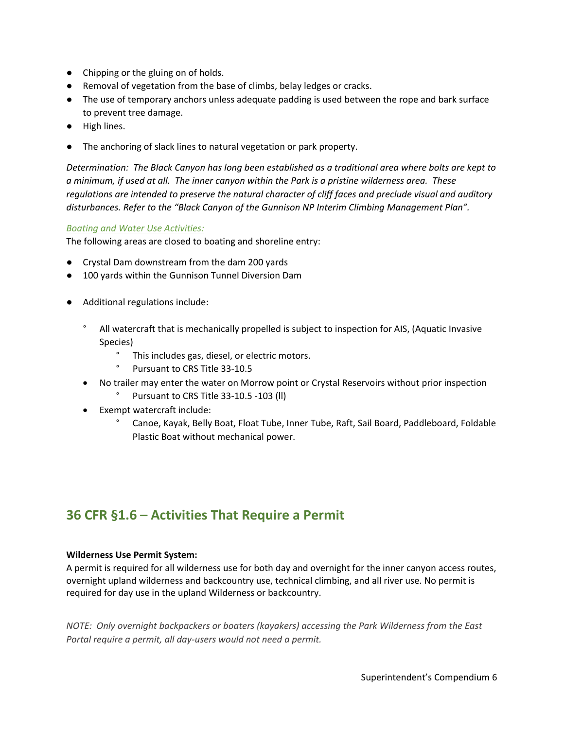- Chipping or the gluing on of holds.
- Removal of vegetation from the base of climbs, belay ledges or cracks.
- The use of temporary anchors unless adequate padding is used between the rope and bark surface to prevent tree damage.
- High lines.
- The anchoring of slack lines to natural vegetation or park property.

*Determination: The Black Canyon has long been established as a traditional area where bolts are kept to a minimum, if used at all. The inner canyon within the Park is a pristine wilderness area. These regulations are intended to preserve the natural character of cliff faces and preclude visual and auditory disturbances. Refer to the "Black Canyon of the Gunnison NP Interim Climbing Management Plan".*

### *Boating and Water Use Activities:*

The following areas are closed to boating and shoreline entry:

- Crystal Dam downstream from the dam 200 yards
- 100 yards within the Gunnison Tunnel Diversion Dam
- Additional regulations include:
	- ° All watercraft that is mechanically propelled is subject to inspection for AIS, (Aquatic Invasive Species)
		- ° This includes gas, diesel, or electric motors.
		- ° Pursuant to CRS Title 33-10.5
	- No trailer may enter the water on Morrow point or Crystal Reservoirs without prior inspection Pursuant to CRS Title 33-10.5 -103 (II)
	- Exempt watercraft include:
		- ° Canoe, Kayak, Belly Boat, Float Tube, Inner Tube, Raft, Sail Board, Paddleboard, Foldable Plastic Boat without mechanical power.

## <span id="page-5-0"></span>**36 CFR §1.6 – Activities That Require a Permit**

#### **Wilderness Use Permit System:**

A permit is required for all wilderness use for both day and overnight for the inner canyon access routes, overnight upland wilderness and backcountry use, technical climbing, and all river use. No permit is required for day use in the upland Wilderness or backcountry.

*NOTE: Only overnight backpackers or boaters (kayakers) accessing the Park Wilderness from the East Portal require a permit, all day-users would not need a permit.*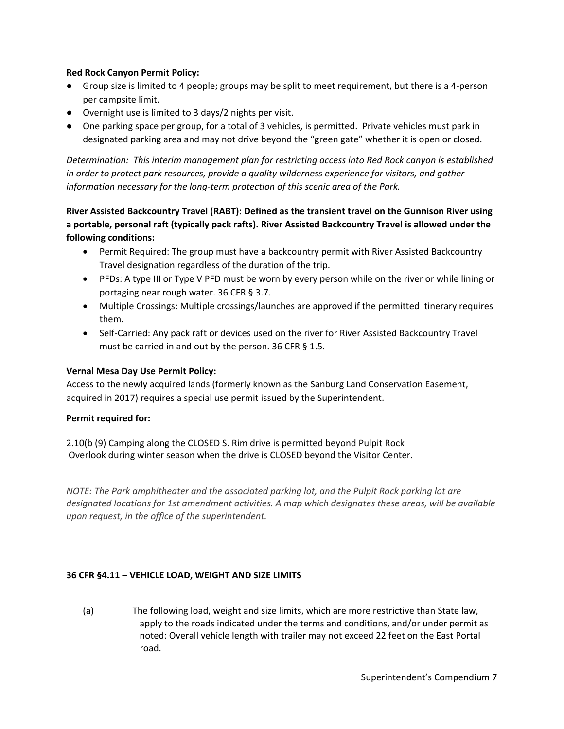### **Red Rock Canyon Permit Policy:**

- Group size is limited to 4 people; groups may be split to meet requirement, but there is a 4-person per campsite limit.
- Overnight use is limited to 3 days/2 nights per visit.
- One parking space per group, for a total of 3 vehicles, is permitted. Private vehicles must park in designated parking area and may not drive beyond the "green gate" whether it is open or closed.

*Determination: This interim management plan for restricting access into Red Rock canyon is established in order to protect park resources, provide a quality wilderness experience for visitors, and gather information necessary for the long-term protection of this scenic area of the Park.*

**River Assisted Backcountry Travel (RABT): Defined as the transient travel on the Gunnison River using a portable, personal raft (typically pack rafts). River Assisted Backcountry Travel is allowed under the following conditions:**

- Permit Required: The group must have a backcountry permit with River Assisted Backcountry Travel designation regardless of the duration of the trip.
- PFDs: A type III or Type V PFD must be worn by every person while on the river or while lining or portaging near rough water. 36 CFR § 3.7.
- Multiple Crossings: Multiple crossings/launches are approved if the permitted itinerary requires them.
- Self-Carried: Any pack raft or devices used on the river for River Assisted Backcountry Travel must be carried in and out by the person. 36 CFR  $\S$  1.5.

### **Vernal Mesa Day Use Permit Policy:**

Access to the newly acquired lands (formerly known as the Sanburg Land Conservation Easement, acquired in 2017) requires a special use permit issued by the Superintendent.

### **Permit required for:**

2.10(b (9) Camping along the CLOSED S. Rim drive is permitted beyond Pulpit Rock Overlook during winter season when the drive is CLOSED beyond the Visitor Center.

*NOTE: The Park amphitheater and the associated parking lot, and the Pulpit Rock parking lot are designated locations for 1st amendment activities. A map which designates these areas, will be available upon request, in the office of the superintendent.*

### **36 CFR §4.11 – VEHICLE LOAD, WEIGHT AND SIZE LIMITS**

(a) The following load, weight and size limits, which are more restrictive than State law, apply to the roads indicated under the terms and conditions, and/or under permit as noted: Overall vehicle length with trailer may not exceed 22 feet on the East Portal road.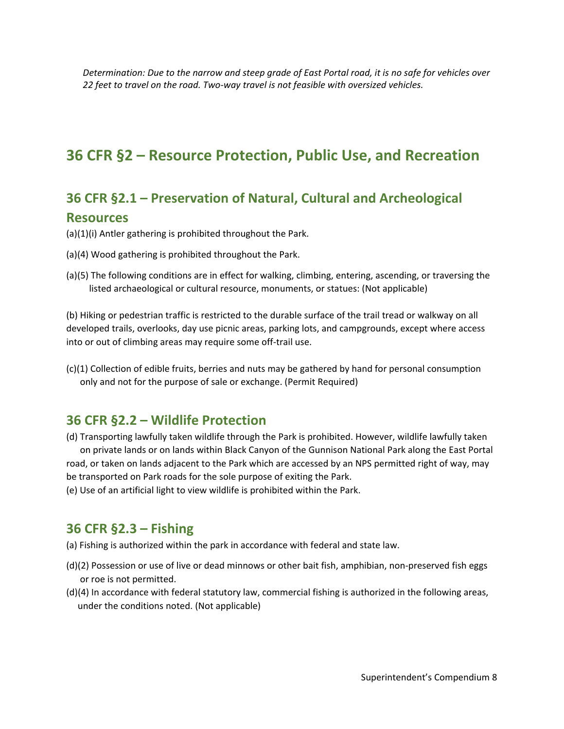*Determination: Due to the narrow and steep grade of East Portal road, it is no safe for vehicles over 22 feet to travel on the road. Two-way travel is not feasible with oversized vehicles.* 

# <span id="page-7-1"></span><span id="page-7-0"></span>**36 CFR §2 – Resource Protection, Public Use, and Recreation**

## **36 CFR §2.1 – Preservation of Natural, Cultural and Archeological Resources**

(a)(1)(i) Antler gathering is prohibited throughout the Park.

- (a)(4) Wood gathering is prohibited throughout the Park.
- (a)(5) The following conditions are in effect for walking, climbing, entering, ascending, or traversing the listed archaeological or cultural resource, monuments, or statues: (Not applicable)

(b) Hiking or pedestrian traffic is restricted to the durable surface of the trail tread or walkway on all developed trails, overlooks, day use picnic areas, parking lots, and campgrounds, except where access into or out of climbing areas may require some off-trail use.

<span id="page-7-2"></span>(c)(1) Collection of edible fruits, berries and nuts may be gathered by hand for personal consumption only and not for the purpose of sale or exchange. (Permit Required)

## **36 CFR §2.2 – Wildlife Protection**

(d) Transporting lawfully taken wildlife through the Park is prohibited. However, wildlife lawfully taken on private lands or on lands within Black Canyon of the Gunnison National Park along the East Portal road, or taken on lands adjacent to the Park which are accessed by an NPS permitted right of way, may be transported on Park roads for the sole purpose of exiting the Park.

(e) Use of an artificial light to view wildlife is prohibited within the Park.

### <span id="page-7-3"></span>**36 CFR §2.3 – Fishing**

(a) Fishing is authorized within the park in accordance with federal and state law.

- (d)(2) Possession or use of live or dead minnows or other bait fish, amphibian, non-preserved fish eggs or roe is not permitted.
- (d)(4) In accordance with federal statutory law, commercial fishing is authorized in the following areas, under the conditions noted. (Not applicable)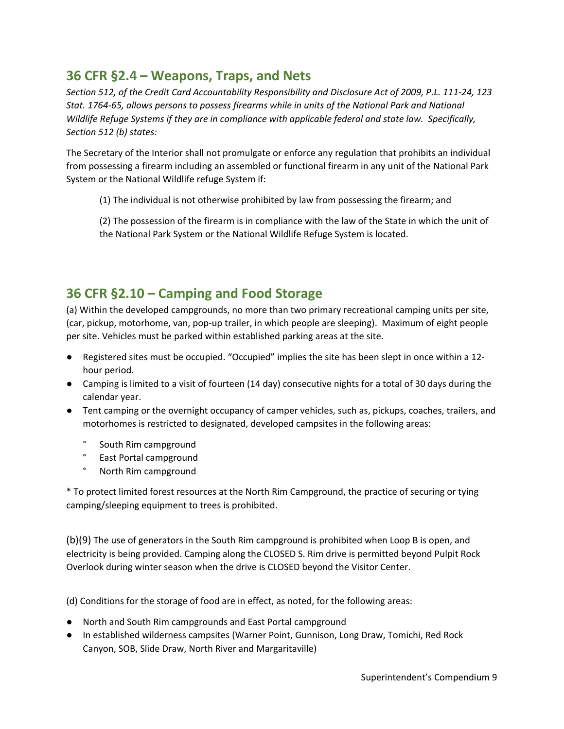# <span id="page-8-0"></span>**36 CFR §2.4 – Weapons, Traps, and Nets**

*Section 512, of the Credit Card Accountability Responsibility and Disclosure Act of 2009, P.L. 111-24, 123 Stat. 1764-65, allows persons to possess firearms while in units of the National Park and National Wildlife Refuge Systems if they are in compliance with applicable federal and state law. Specifically, Section 512 (b) states:*

The Secretary of the Interior shall not promulgate or enforce any regulation that prohibits an individual from possessing a firearm including an assembled or functional firearm in any unit of the National Park System or the National Wildlife refuge System if:

(1) The individual is not otherwise prohibited by law from possessing the firearm; and

(2) The possession of the firearm is in compliance with the law of the State in which the unit of the National Park System or the National Wildlife Refuge System is located.

# <span id="page-8-1"></span>**36 CFR §2.10 – Camping and Food Storage**

(a) Within the developed campgrounds, no more than two primary recreational camping units per site, (car, pickup, motorhome, van, pop-up trailer, in which people are sleeping). Maximum of eight people per site. Vehicles must be parked within established parking areas at the site.

- Registered sites must be occupied. "Occupied" implies the site has been slept in once within a 12 hour period.
- Camping is limited to a visit of fourteen (14 day) consecutive nights for a total of 30 days during the calendar year.
- Tent camping or the overnight occupancy of camper vehicles, such as, pickups, coaches, trailers, and motorhomes is restricted to designated, developed campsites in the following areas:
	- ° South Rim campground
	- ° East Portal campground
	- ° North Rim campground

\* To protect limited forest resources at the North Rim Campground, the practice of securing or tying camping/sleeping equipment to trees is prohibited.

(b)(9) The use of generators in the South Rim campground is prohibited when Loop B is open, and electricity is being provided. Camping along the CLOSED S. Rim drive is permitted beyond Pulpit Rock Overlook during winter season when the drive is CLOSED beyond the Visitor Center.

(d) Conditions for the storage of food are in effect, as noted, for the following areas:

- North and South Rim campgrounds and East Portal campground
- In established wilderness campsites (Warner Point, Gunnison, Long Draw, Tomichi, Red Rock Canyon, SOB, Slide Draw, North River and Margaritaville)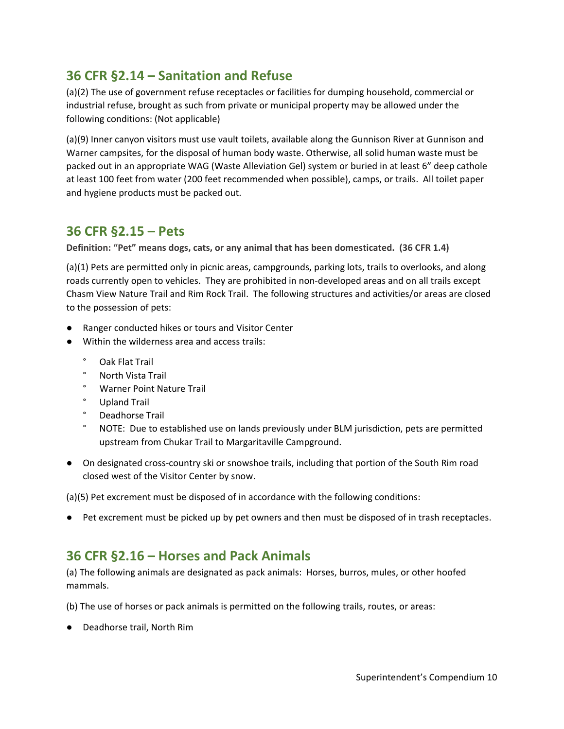# <span id="page-9-0"></span>**36 CFR §2.14 – Sanitation and Refuse**

(a)(2) The use of government refuse receptacles or facilities for dumping household, commercial or industrial refuse, brought as such from private or municipal property may be allowed under the following conditions: (Not applicable)

(a)(9) Inner canyon visitors must use vault toilets, available along the Gunnison River at Gunnison and Warner campsites, for the disposal of human body waste. Otherwise, all solid human waste must be packed out in an appropriate WAG (Waste Alleviation Gel) system or buried in at least 6" deep cathole at least 100 feet from water (200 feet recommended when possible), camps, or trails. All toilet paper and hygiene products must be packed out.

# <span id="page-9-1"></span>**36 CFR §2.15 – Pets**

**Definition: "Pet" means dogs, cats, or any animal that has been domesticated. (36 CFR 1.4)**

(a)(1) Pets are permitted only in picnic areas, campgrounds, parking lots, trails to overlooks, and along roads currently open to vehicles. They are prohibited in non-developed areas and on all trails except Chasm View Nature Trail and Rim Rock Trail. The following structures and activities/or areas are closed to the possession of pets:

- Ranger conducted hikes or tours and Visitor Center
- Within the wilderness area and access trails:
	- ° Oak Flat Trail
	- ° North Vista Trail
	- ° Warner Point Nature Trail
	- ° Upland Trail
	- ° Deadhorse Trail
	- ° NOTE: Due to established use on lands previously under BLM jurisdiction, pets are permitted upstream from Chukar Trail to Margaritaville Campground.
- On designated cross-country ski or snowshoe trails, including that portion of the South Rim road closed west of the Visitor Center by snow.

(a)(5) Pet excrement must be disposed of in accordance with the following conditions:

● Pet excrement must be picked up by pet owners and then must be disposed of in trash receptacles.

## <span id="page-9-2"></span>**36 CFR §2.16 – Horses and Pack Animals**

(a) The following animals are designated as pack animals: Horses, burros, mules, or other hoofed mammals.

(b) The use of horses or pack animals is permitted on the following trails, routes, or areas:

● Deadhorse trail, North Rim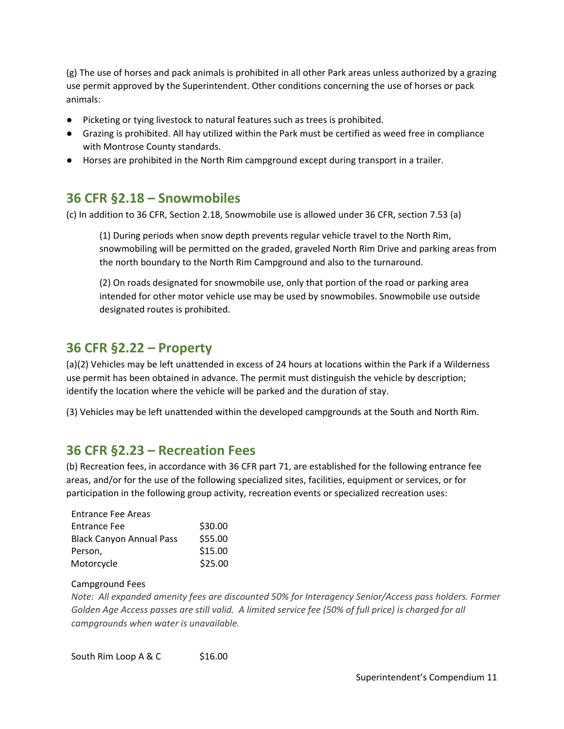(g) The use of horses and pack animals is prohibited in all other Park areas unless authorized by a grazing use permit approved by the Superintendent. Other conditions concerning the use of horses or pack animals:

- Picketing or tying livestock to natural features such as trees is prohibited.
- Grazing is prohibited. All hay utilized within the Park must be certified as weed free in compliance with Montrose County standards.
- Horses are prohibited in the North Rim campground except during transport in a trailer.

## <span id="page-10-0"></span>**36 CFR §2.18 – Snowmobiles**

(c) In addition to 36 CFR, Section 2.18, Snowmobile use is allowed under 36 CFR, section 7.53 (a)

(1) During periods when snow depth prevents regular vehicle travel to the North Rim, snowmobiling will be permitted on the graded, graveled North Rim Drive and parking areas from the north boundary to the North Rim Campground and also to the turnaround.

(2) On roads designated for snowmobile use, only that portion of the road or parking area intended for other motor vehicle use may be used by snowmobiles. Snowmobile use outside designated routes is prohibited.

# <span id="page-10-1"></span>**36 CFR §2.22 – Property**

(a)(2) Vehicles may be left unattended in excess of 24 hours at locations within the Park if a Wilderness use permit has been obtained in advance. The permit must distinguish the vehicle by description; identify the location where the vehicle will be parked and the duration of stay.

(3) Vehicles may be left unattended within the developed campgrounds at the South and North Rim.

## <span id="page-10-2"></span>**36 CFR §2.23 – Recreation Fees**

(b) Recreation fees, in accordance with 36 CFR part 71, are established for the following entrance fee areas, and/or for the use of the following specialized sites, facilities, equipment or services, or for participation in the following group activity, recreation events or specialized recreation uses:

| \$30.00 |
|---------|
| \$55.00 |
| \$15.00 |
| \$25.00 |
|         |

### Campground Fees

*Note: All expanded amenity fees are discounted 50% for Interagency Senior/Access pass holders. Former Golden Age Access passes are still valid. A limited service fee (50% of full price) is charged for all campgrounds when water is unavailable.*

South Rim Loop A & C \$16.00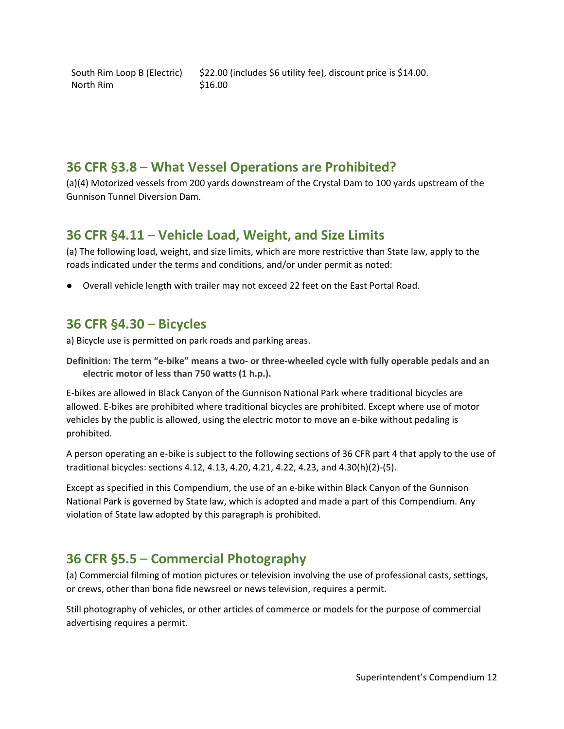North Rim \$16.00

### <span id="page-11-0"></span>**36 CFR §3.8 – What Vessel Operations are Prohibited?**

(a)(4) Motorized vessels from 200 yards downstream of the Crystal Dam to 100 yards upstream of the Gunnison Tunnel Diversion Dam.

## <span id="page-11-1"></span>**36 CFR §4.11 – Vehicle Load, Weight, and Size Limits**

(a) The following load, weight, and size limits, which are more restrictive than State law, apply to the roads indicated under the terms and conditions, and/or under permit as noted:

● Overall vehicle length with trailer may not exceed 22 feet on the East Portal Road.

## <span id="page-11-2"></span>**36 CFR §4.30 – Bicycles**

a) Bicycle use is permitted on park roads and parking areas.

**Definition: The term "e-bike" means a two- or three-wheeled cycle with fully operable pedals and an electric motor of less than 750 watts (1 h.p.).** 

E-bikes are allowed in Black Canyon of the Gunnison National Park where traditional bicycles are allowed. E-bikes are prohibited where traditional bicycles are prohibited. Except where use of motor vehicles by the public is allowed, using the electric motor to move an e-bike without pedaling is prohibited.

A person operating an e-bike is subject to the following sections of 36 CFR part 4 that apply to the use of traditional bicycles: sections 4.12, 4.13, 4.20, 4.21, 4.22, 4.23, and 4.30(h)(2)-(5).

Except as specified in this Compendium, the use of an e-bike within Black Canyon of the Gunnison National Park is governed by State law, which is adopted and made a part of this Compendium. Any violation of State law adopted by this paragraph is prohibited.

# <span id="page-11-3"></span>**36 CFR §5.5** – **Commercial Photography**

(a) Commercial filming of motion pictures or television involving the use of professional casts, settings, or crews, other than bona fide newsreel or news television, requires a permit.

Still photography of vehicles, or other articles of commerce or models for the purpose of commercial advertising requires a permit.